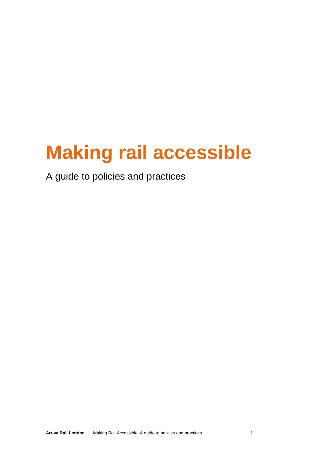# **Making rail accessible**

A guide to policies and practices

**Arriva Rail London** | Making Rail Accessible: A guide to policies and practices 1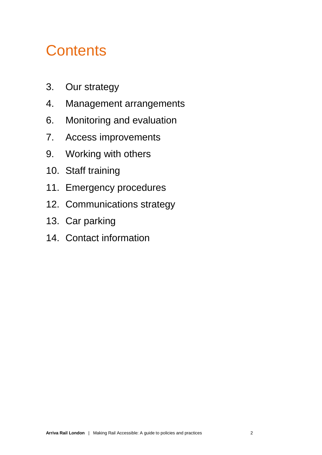# **Contents**

- 3. Our strategy
- 4. Management arrangements
- 6. Monitoring and evaluation
- 7. Access improvements
- 9. Working with others
- 10. Staff training
- 11. Emergency procedures
- 12. Communications strategy
- 13. Car parking
- 14. Contact information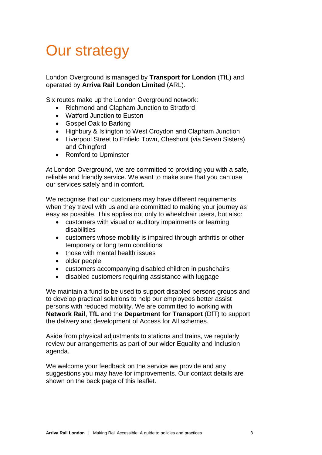# Our strategy

London Overground is managed by **Transport for London** (TfL) and operated by **Arriva Rail London Limited** (ARL).

Six routes make up the London Overground network:

- Richmond and Clapham Junction to Stratford
- Watford Junction to Euston
- Gospel Oak to Barking
- Highbury & Islington to West Croydon and Clapham Junction
- Liverpool Street to Enfield Town, Cheshunt (via Seven Sisters) and Chingford
- Romford to Upminster

At London Overground, we are committed to providing you with a safe, reliable and friendly service. We want to make sure that you can use our services safely and in comfort.

We recognise that our customers may have different requirements when they travel with us and are committed to making your journey as easy as possible. This applies not only to wheelchair users, but also:

- customers with visual or auditory impairments or learning disabilities
- customers whose mobility is impaired through arthritis or other temporary or long term conditions
- those with mental health issues
- older people
- customers accompanying disabled children in pushchairs
- disabled customers requiring assistance with luggage

We maintain a fund to be used to support disabled persons groups and to develop practical solutions to help our employees better assist persons with reduced mobility. We are committed to working with **Network Rail**, **TfL** and the **Department for Transport** (DfT) to support the delivery and development of Access for All schemes.

Aside from physical adjustments to stations and trains, we regularly review our arrangements as part of our wider Equality and Inclusion agenda.

We welcome your feedback on the service we provide and any suggestions you may have for improvements. Our contact details are shown on the back page of this leaflet.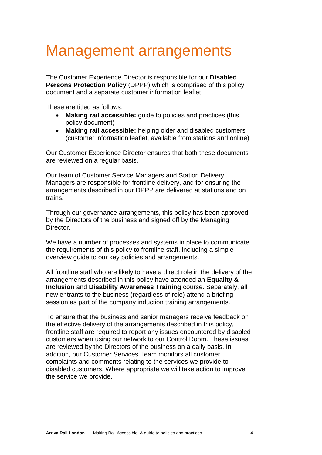#### Management arrangements

The Customer Experience Director is responsible for our **Disabled Persons Protection Policy** (DPPP) which is comprised of this policy document and a separate customer information leaflet.

These are titled as follows:

- **Making rail accessible:** guide to policies and practices (this policy document)
- **Making rail accessible:** helping older and disabled customers (customer information leaflet, available from stations and online)

Our Customer Experience Director ensures that both these documents are reviewed on a regular basis.

Our team of Customer Service Managers and Station Delivery Managers are responsible for frontline delivery, and for ensuring the arrangements described in our DPPP are delivered at stations and on trains.

Through our governance arrangements, this policy has been approved by the Directors of the business and signed off by the Managing Director.

We have a number of processes and systems in place to communicate the requirements of this policy to frontline staff, including a simple overview guide to our key policies and arrangements.

All frontline staff who are likely to have a direct role in the delivery of the arrangements described in this policy have attended an **Equality & Inclusion** and **Disability Awareness Training** course. Separately, all new entrants to the business (regardless of role) attend a briefing session as part of the company induction training arrangements.

To ensure that the business and senior managers receive feedback on the effective delivery of the arrangements described in this policy, frontline staff are required to report any issues encountered by disabled customers when using our network to our Control Room. These issues are reviewed by the Directors of the business on a daily basis. In addition, our Customer Services Team monitors all customer complaints and comments relating to the services we provide to disabled customers. Where appropriate we will take action to improve the service we provide.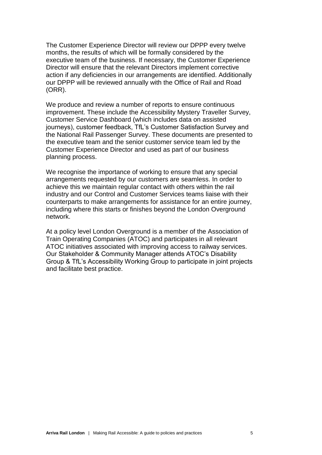The Customer Experience Director will review our DPPP every twelve months, the results of which will be formally considered by the executive team of the business. If necessary, the Customer Experience Director will ensure that the relevant Directors implement corrective action if any deficiencies in our arrangements are identified. Additionally our DPPP will be reviewed annually with the Office of Rail and Road (ORR).

We produce and review a number of reports to ensure continuous improvement. These include the Accessibility Mystery Traveller Survey, Customer Service Dashboard (which includes data on assisted journeys), customer feedback, TfL's Customer Satisfaction Survey and the National Rail Passenger Survey. These documents are presented to the executive team and the senior customer service team led by the Customer Experience Director and used as part of our business planning process.

We recognise the importance of working to ensure that any special arrangements requested by our customers are seamless. In order to achieve this we maintain regular contact with others within the rail industry and our Control and Customer Services teams liaise with their counterparts to make arrangements for assistance for an entire journey, including where this starts or finishes beyond the London Overground network.

At a policy level London Overground is a member of the Association of Train Operating Companies (ATOC) and participates in all relevant ATOC initiatives associated with improving access to railway services. Our Stakeholder & Community Manager attends ATOC's Disability Group & TfL's Accessibility Working Group to participate in joint projects and facilitate best practice.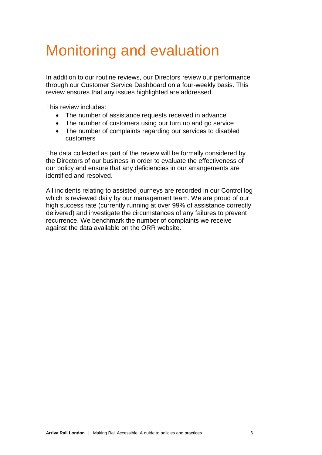# Monitoring and evaluation

In addition to our routine reviews, our Directors review our performance through our Customer Service Dashboard on a four-weekly basis. This review ensures that any issues highlighted are addressed.

This review includes:

- The number of assistance requests received in advance
- The number of customers using our turn up and go service
- The number of complaints regarding our services to disabled customers

The data collected as part of the review will be formally considered by the Directors of our business in order to evaluate the effectiveness of our policy and ensure that any deficiencies in our arrangements are identified and resolved.

All incidents relating to assisted journeys are recorded in our Control log which is reviewed daily by our management team. We are proud of our high success rate (currently running at over 99% of assistance correctly delivered) and investigate the circumstances of any failures to prevent recurrence. We benchmark the number of complaints we receive against the data available on the ORR website.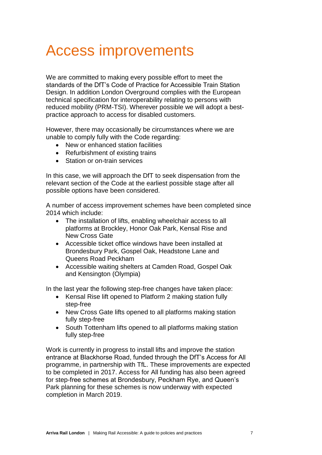#### Access improvements

We are committed to making every possible effort to meet the standards of the DfT's Code of Practice for Accessible Train Station Design. In addition London Overground complies with the European technical specification for interoperability relating to persons with reduced mobility (PRM-TSI). Wherever possible we will adopt a bestpractice approach to access for disabled customers.

However, there may occasionally be circumstances where we are unable to comply fully with the Code regarding:

- New or enhanced station facilities
- Refurbishment of existing trains
- Station or on-train services

In this case, we will approach the DfT to seek dispensation from the relevant section of the Code at the earliest possible stage after all possible options have been considered.

A number of access improvement schemes have been completed since 2014 which include:

- The installation of lifts, enabling wheelchair access to all platforms at Brockley, Honor Oak Park, Kensal Rise and New Cross Gate
- Accessible ticket office windows have been installed at Brondesbury Park, Gospel Oak, Headstone Lane and Queens Road Peckham
- Accessible waiting shelters at Camden Road, Gospel Oak and Kensington (Olympia)

In the last year the following step-free changes have taken place:

- Kensal Rise lift opened to Platform 2 making station fully step-free
- New Cross Gate lifts opened to all platforms making station fully step-free
- South Tottenham lifts opened to all platforms making station fully step-free

Work is currently in progress to install lifts and improve the station entrance at Blackhorse Road, funded through the DfT's Access for All programme, in partnership with TfL. These improvements are expected to be completed in 2017. Access for All funding has also been agreed for step-free schemes at Brondesbury, Peckham Rye, and Queen's Park planning for these schemes is now underway with expected completion in March 2019.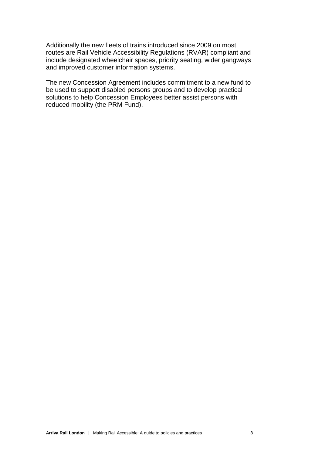Additionally the new fleets of trains introduced since 2009 on most routes are Rail Vehicle Accessibility Regulations (RVAR) compliant and include designated wheelchair spaces, priority seating, wider gangways and improved customer information systems.

The new Concession Agreement includes commitment to a new fund to be used to support disabled persons groups and to develop practical solutions to help Concession Employees better assist persons with reduced mobility (the PRM Fund).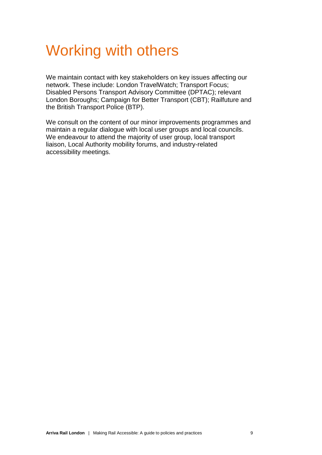#### Working with others

We maintain contact with key stakeholders on key issues affecting our network. These include: London TravelWatch; Transport Focus; Disabled Persons Transport Advisory Committee (DPTAC); relevant London Boroughs; Campaign for Better Transport (CBT); Railfuture and the British Transport Police (BTP).

We consult on the content of our minor improvements programmes and maintain a regular dialogue with local user groups and local councils. We endeavour to attend the majority of user group, local transport liaison, Local Authority mobility forums, and industry-related accessibility meetings.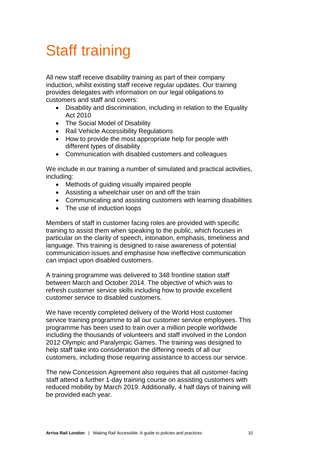# Staff training

All new staff receive disability training as part of their company induction, whilst existing staff receive regular updates. Our training provides delegates with information on our legal obligations to customers and staff and covers:

- Disability and discrimination, including in relation to the Equality Act 2010
- The Social Model of Disability
- Rail Vehicle Accessibility Regulations
- How to provide the most appropriate help for people with different types of disability
- Communication with disabled customers and colleagues

We include in our training a number of simulated and practical activities, including:

- Methods of guiding visually impaired people
- Assisting a wheelchair user on and off the train
- Communicating and assisting customers with learning disabilities
- The use of induction loops

Members of staff in customer facing roles are provided with specific training to assist them when speaking to the public, which focuses in particular on the clarity of speech, intonation, emphasis, timeliness and language. This training is designed to raise awareness of potential communication issues and emphasise how ineffective communication can impact upon disabled customers.

A training programme was delivered to 348 frontline station staff between March and October 2014. The objective of which was to refresh customer service skills including how to provide excellent customer service to disabled customers.

We have recently completed delivery of the World Host customer service training programme to all our customer service employees. This programme has been used to train over a million people worldwide including the thousands of volunteers and staff involved in the London 2012 Olympic and Paralympic Games. The training was designed to help staff take into consideration the differing needs of all our customers, including those requiring assistance to access our service.

The new Concession Agreement also requires that all customer-facing staff attend a further 1-day training course on assisting customers with reduced mobility by March 2019. Additionally, 4 half days of training will be provided each year.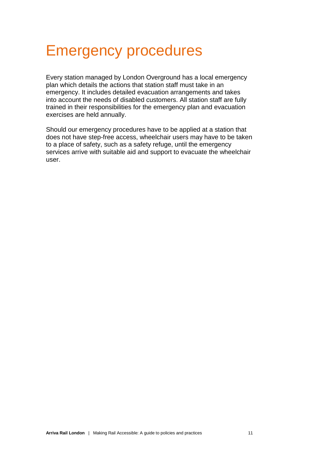#### Emergency procedures

Every station managed by London Overground has a local emergency plan which details the actions that station staff must take in an emergency. It includes detailed evacuation arrangements and takes into account the needs of disabled customers. All station staff are fully trained in their responsibilities for the emergency plan and evacuation exercises are held annually.

Should our emergency procedures have to be applied at a station that does not have step-free access, wheelchair users may have to be taken to a place of safety, such as a safety refuge, until the emergency services arrive with suitable aid and support to evacuate the wheelchair user.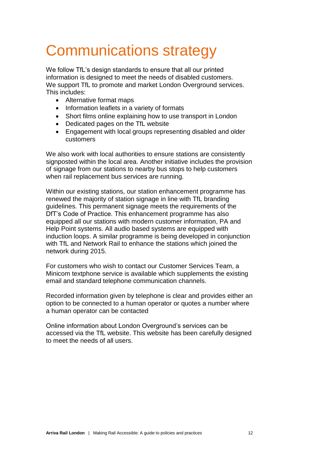# Communications strategy

We follow TfL's design standards to ensure that all our printed information is designed to meet the needs of disabled customers. We support TfL to promote and market London Overground services. This includes:

- Alternative format maps
- Information leaflets in a variety of formats
- Short films online explaining how to use transport in London
- Dedicated pages on the TfL website
- Engagement with local groups representing disabled and older customers

We also work with local authorities to ensure stations are consistently signposted within the local area. Another initiative includes the provision of signage from our stations to nearby bus stops to help customers when rail replacement bus services are running.

Within our existing stations, our station enhancement programme has renewed the majority of station signage in line with TfL branding guidelines. This permanent signage meets the requirements of the DfT's Code of Practice. This enhancement programme has also equipped all our stations with modern customer information, PA and Help Point systems. All audio based systems are equipped with induction loops. A similar programme is being developed in conjunction with TfL and Network Rail to enhance the stations which joined the network during 2015.

For customers who wish to contact our Customer Services Team, a Minicom textphone service is available which supplements the existing email and standard telephone communication channels.

Recorded information given by telephone is clear and provides either an option to be connected to a human operator or quotes a number where a human operator can be contacted

Online information about London Overground's services can be accessed via the TfL website. This website has been carefully designed to meet the needs of all users.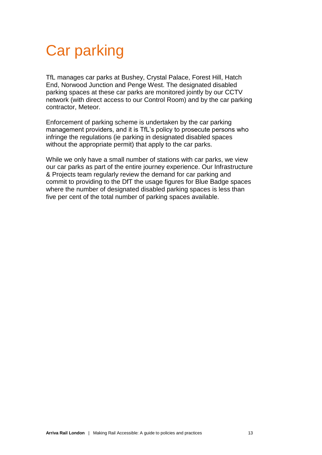# Car parking

TfL manages car parks at Bushey, Crystal Palace, Forest Hill, Hatch End, Norwood Junction and Penge West. The designated disabled parking spaces at these car parks are monitored jointly by our CCTV network (with direct access to our Control Room) and by the car parking contractor, Meteor.

Enforcement of parking scheme is undertaken by the car parking management providers, and it is TfL's policy to prosecute persons who infringe the regulations (ie parking in designated disabled spaces without the appropriate permit) that apply to the car parks.

While we only have a small number of stations with car parks, we view our car parks as part of the entire journey experience. Our Infrastructure & Projects team regularly review the demand for car parking and commit to providing to the DfT the usage figures for Blue Badge spaces where the number of designated disabled parking spaces is less than five per cent of the total number of parking spaces available.